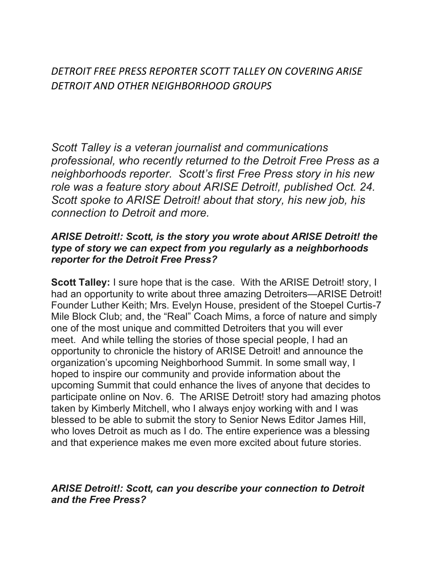DETROIT FREE PRESS REPORTER SCOTT TALLEY ON COVERING ARISE DETROIT AND OTHER NEIGHBORHOOD GROUPS

Scott Talley is a veteran journalist and communications professional, who recently returned to the Detroit Free Press as a neighborhoods reporter. Scott's first Free Press story in his new role was a feature story about ARISE Detroit!, published Oct. 24. Scott spoke to ARISE Detroit! about that story, his new job, his connection to Detroit and more.

## ARISE Detroit!: Scott, is the story you wrote about ARISE Detroit! the type of story we can expect from you regularly as a neighborhoods reporter for the Detroit Free Press?

**Scott Talley:** I sure hope that is the case. With the ARISE Detroit! story, I had an opportunity to write about three amazing Detroiters—ARISE Detroit! Founder Luther Keith; Mrs. Evelyn House, president of the Stoepel Curtis-7 Mile Block Club; and, the "Real" Coach Mims, a force of nature and simply one of the most unique and committed Detroiters that you will ever meet. And while telling the stories of those special people, I had an opportunity to chronicle the history of ARISE Detroit! and announce the organization's upcoming Neighborhood Summit. In some small way, I hoped to inspire our community and provide information about the upcoming Summit that could enhance the lives of anyone that decides to participate online on Nov. 6. The ARISE Detroit! story had amazing photos taken by Kimberly Mitchell, who I always enjoy working with and I was blessed to be able to submit the story to Senior News Editor James Hill, who loves Detroit as much as I do. The entire experience was a blessing and that experience makes me even more excited about future stories.

## ARISE Detroit!: Scott, can you describe your connection to Detroit and the Free Press?